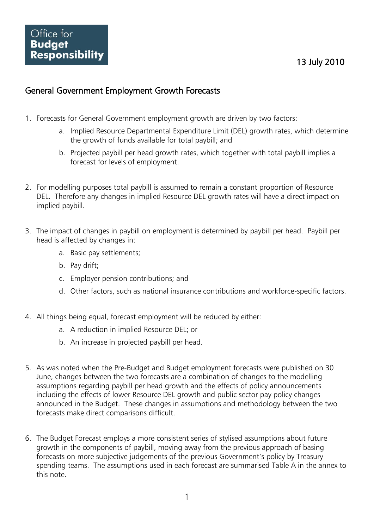#### General Government Employment Growth Forecasts

- 1. Forecasts for General Government employment growth are driven by two factors:
	- a. Implied Resource Departmental Expenditure Limit (DEL) growth rates, which determine the growth of funds available for total paybill; and
	- b. Projected paybill per head growth rates, which together with total paybill implies a forecast for levels of employment.
- 2. For modelling purposes total paybill is assumed to remain a constant proportion of Resource DEL. Therefore any changes in implied Resource DEL growth rates will have a direct impact on implied paybill.
- 3. The impact of changes in paybill on employment is determined by paybill per head. Paybill per head is affected by changes in:
	- a. Basic pay settlements;
	- b. Pay drift;
	- c. Employer pension contributions; and
	- d. Other factors, such as national insurance contributions and workforce-specific factors.
- 4. All things being equal, forecast employment will be reduced by either:
	- a. A reduction in implied Resource DEL; or
	- b. An increase in projected paybill per head.
- 5. As was noted when the Pre-Budget and Budget employment forecasts were published on 30 June, changes between the two forecasts are a combination of changes to the modelling assumptions regarding paybill per head growth and the effects of policy announcements including the effects of lower Resource DEL growth and public sector pay policy changes announced in the Budget. These changes in assumptions and methodology between the two forecasts make direct comparisons difficult.
- 6. The Budget Forecast employs a more consistent series of stylised assumptions about future growth in the components of paybill, moving away from the previous approach of basing forecasts on more subjective judgements of the previous Government's policy by Treasury spending teams. The assumptions used in each forecast are summarised Table A in the annex to this note.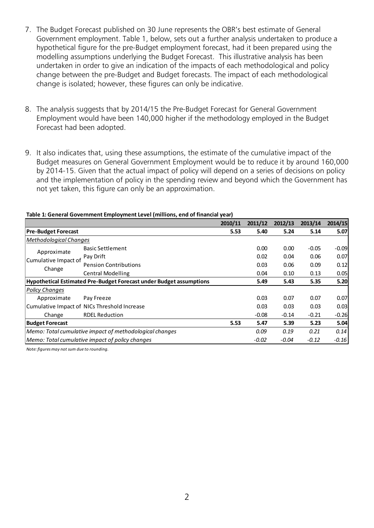- 7. The Budget Forecast published on 30 June represents the OBR's best estimate of General Government employment. Table 1, below, sets out a further analysis undertaken to produce a hypothetical figure for the pre-Budget employment forecast, had it been prepared using the modelling assumptions underlying the Budget Forecast. This illustrative analysis has been undertaken in order to give an indication of the impacts of each methodological and policy change between the pre-Budget and Budget forecasts. The impact of each methodological change is isolated; however, these figures can only be indicative.
- 8. The analysis suggests that by 2014/15 the Pre-Budget Forecast for General Government Employment would have been 140,000 higher if the methodology employed in the Budget Forecast had been adopted.
- 9. It also indicates that, using these assumptions, the estimate of the cumulative impact of the Budget measures on General Government Employment would be to reduce it by around 160,000 by 2014-15. Given that the actual impact of policy will depend on a series of decisions on policy and the implementation of policy in the spending review and beyond which the Government has not yet taken, this figure can only be an approximation.

|  |  | Table 1: General Government Employment Level (millions, end of financial year) |  |  |  |
|--|--|--------------------------------------------------------------------------------|--|--|--|
|--|--|--------------------------------------------------------------------------------|--|--|--|

|                                                                     |                              | 2010/11 | 2011/12 | 2012/13 | 2013/14 | 2014/15 |
|---------------------------------------------------------------------|------------------------------|---------|---------|---------|---------|---------|
| <b>Pre-Budget Forecast</b>                                          |                              | 5.53    | 5.40    | 5.24    | 5.14    | 5.07    |
| <b>Methodological Changes</b>                                       |                              |         |         |         |         |         |
| Approximate                                                         | <b>Basic Settlement</b>      |         | 0.00    | 0.00    | $-0.05$ | $-0.09$ |
| Cumulative Impact of                                                | Pay Drift                    |         | 0.02    | 0.04    | 0.06    | 0.07    |
|                                                                     | <b>Pension Contributions</b> |         | 0.03    | 0.06    | 0.09    | 0.12    |
| Change                                                              | <b>Central Modelling</b>     |         | 0.04    | 0.10    | 0.13    | 0.05    |
| Hypothetical Estimated Pre-Budget Forecast under Budget assumptions |                              |         | 5.49    | 5.43    | 5.35    | 5.20    |
| <b>Policy Changes</b>                                               |                              |         |         |         |         |         |
| Approximate                                                         | Pay Freeze                   |         | 0.03    | 0.07    | 0.07    | 0.07    |
| Cumulative Impact of NICs Threshold Increase                        |                              |         | 0.03    | 0.03    | 0.03    | 0.03    |
| Change                                                              | <b>RDEL Reduction</b>        |         | $-0.08$ | $-0.14$ | $-0.21$ | $-0.26$ |
| <b>Budget Forecast</b>                                              |                              | 5.53    | 5.47    | 5.39    | 5.23    | 5.04    |
| Memo: Total cumulative impact of methodological changes             |                              |         | 0.09    | 0.19    | 0.21    | 0.14    |
| Memo: Total cumulative impact of policy changes                     |                              |         | $-0.02$ | $-0.04$ | $-0.12$ | $-0.16$ |

*Note: figures may not sum due to rounding.*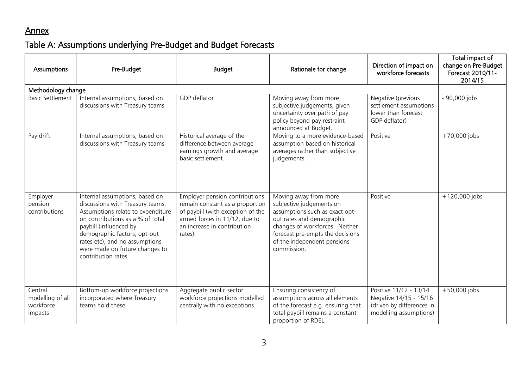## Annex

# Table A: Assumptions underlying Pre-Budget and Budget Forecasts

| Assumptions                                         | Pre-Budget                                                                                                                                                                                                                                                                                       | <b>Budget</b>                                                                                                                                                                     | Rationale for change                                                                                                                                                                                                                 | Direction of impact on<br>workforce forecasts                                                           | Total impact of<br>change on Pre-Budget<br>Forecast 2010/11-<br>2014/15 |
|-----------------------------------------------------|--------------------------------------------------------------------------------------------------------------------------------------------------------------------------------------------------------------------------------------------------------------------------------------------------|-----------------------------------------------------------------------------------------------------------------------------------------------------------------------------------|--------------------------------------------------------------------------------------------------------------------------------------------------------------------------------------------------------------------------------------|---------------------------------------------------------------------------------------------------------|-------------------------------------------------------------------------|
| Methodology change                                  |                                                                                                                                                                                                                                                                                                  |                                                                                                                                                                                   |                                                                                                                                                                                                                                      |                                                                                                         |                                                                         |
| <b>Basic Settlement</b>                             | Internal assumptions, based on<br>discussions with Treasury teams                                                                                                                                                                                                                                | GDP deflator                                                                                                                                                                      | Moving away from more<br>subjective judgements, given<br>uncertainty over path of pay<br>policy beyond pay restraint<br>announced at Budget.                                                                                         | Negative (previous<br>settlement assumptions<br>lower than forecast<br>GDP deflator)                    | - 90,000 jobs                                                           |
| Pay drift                                           | Internal assumptions, based on<br>discussions with Treasury teams                                                                                                                                                                                                                                | Historical average of the<br>difference between average<br>earnings growth and average<br>basic settlement.                                                                       | Moving to a more evidence-based<br>assumption based on historical<br>averages rather than subjective<br>judgements.                                                                                                                  | Positive                                                                                                | $+70,000$ jobs                                                          |
| Employer<br>pension<br>contributions                | Internal assumptions, based on<br>discussions with Treasury teams.<br>Assumptions relate to expenditure<br>on contributions as a % of total<br>paybill (influenced by<br>demographic factors, opt-out<br>rates etc), and no assumptions<br>were made on future changes to<br>contribution rates. | Employer pension contributions<br>remain constant as a proportion<br>of paybill (with exception of the<br>armed forces in 11/12, due to<br>an increase in contribution<br>rates). | Moving away from more<br>subjective judgements on<br>assumptions such as exact opt-<br>out rates and demographic<br>changes of workforces. Neither<br>forecast pre-empts the decisions<br>of the independent pensions<br>commission. | Positive                                                                                                | $+120,000$ jobs                                                         |
| Central<br>modelling of all<br>workforce<br>impacts | Bottom-up workforce projections<br>incorporated where Treasury<br>teams hold these.                                                                                                                                                                                                              | Aggregate public sector<br>workforce projections modelled<br>centrally with no exceptions.                                                                                        | Ensuring consistency of<br>assumptions across all elements<br>of the forecast e.g. ensuring that<br>total paybill remains a constant<br>proportion of RDEL.                                                                          | Positive 11/12 - 13/14<br>Negative 14/15 - 15/16<br>(driven by differences in<br>modelling assumptions) | $+50,000$ jobs                                                          |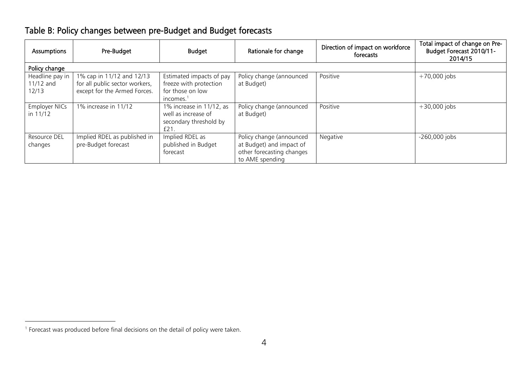| Assumptions                           | Pre-Budget                                                                                  | <b>Budget</b>                                                                                   | Rationale for change                                                                                 | Direction of impact on workforce<br>forecasts | Total impact of change on Pre-<br>Budget Forecast 2010/11-<br>2014/15 |
|---------------------------------------|---------------------------------------------------------------------------------------------|-------------------------------------------------------------------------------------------------|------------------------------------------------------------------------------------------------------|-----------------------------------------------|-----------------------------------------------------------------------|
| Policy change                         |                                                                                             |                                                                                                 |                                                                                                      |                                               |                                                                       |
| Headline pay in<br>11/12 and<br>12/13 | 1% cap in 11/12 and 12/13<br>for all public sector workers,<br>except for the Armed Forces. | Estimated impacts of pay<br>freeze with protection<br>for those on low<br>incomes.              | Policy change (announced<br>at Budget)                                                               | Positive                                      | $+70,000$ jobs                                                        |
| Employer NICs<br>in 11/12             | 1% increase in 11/12                                                                        | $\overline{1\%}$ increase in 11/12, as<br>well as increase of<br>secondary threshold by<br>£21. | Policy change (announced<br>at Budget)                                                               | Positive                                      | $+30,000$ jobs                                                        |
| Resource DEL<br>changes               | Implied RDEL as published in<br>pre-Budget forecast                                         | Implied RDEL as<br>published in Budget<br>forecast                                              | Policy change (announced<br>at Budget) and impact of<br>other forecasting changes<br>to AME spending | Negative                                      | -260,000 jobs                                                         |

# Table B: Policy changes between pre-Budget and Budget forecasts

 1 Forecast was produced before final decisions on the detail of policy were taken.